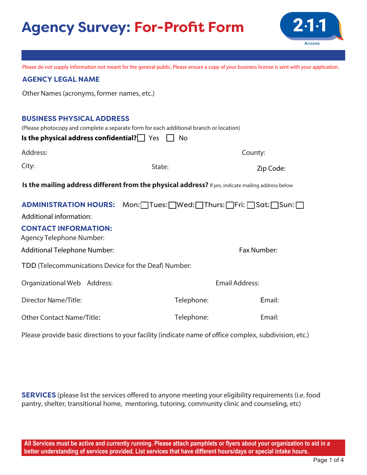# **Agency Survey: For-Profit Form**



Please do not supply information not meant for the general public. Please ensure a copy of your business license is sent with your application.

### **AGENCY LEGAL NAME**

Other Names (acronyms, former names, etc.)

#### **BUSINESS PHYSICAL ADDRESS**

|                                                                                                    | (Please photocopy and complete a separate form for each additional branch or location) |                       |  |  |  |  |  |  |
|----------------------------------------------------------------------------------------------------|----------------------------------------------------------------------------------------|-----------------------|--|--|--|--|--|--|
| Is the physical address confidential? $\Box$ Yes                                                   | No                                                                                     |                       |  |  |  |  |  |  |
| Address:                                                                                           |                                                                                        | County:               |  |  |  |  |  |  |
| City:                                                                                              | State:                                                                                 | Zip Code:             |  |  |  |  |  |  |
| Is the mailing address different from the physical address? If yes, indicate mailing address below |                                                                                        |                       |  |  |  |  |  |  |
|                                                                                                    | ADMINISTRATION HOURS: Mon:□Tues:□Wed:□Thurs:□Fri:□Sat:□Sun:□                           |                       |  |  |  |  |  |  |
| Additional information:                                                                            |                                                                                        |                       |  |  |  |  |  |  |
| <b>CONTACT INFORMATION:</b><br>Agency Telephone Number:                                            |                                                                                        |                       |  |  |  |  |  |  |
| <b>Additional Telephone Number:</b>                                                                |                                                                                        | Fax Number:           |  |  |  |  |  |  |
| TDD (Telecommunications Device for the Deaf) Number:                                               |                                                                                        |                       |  |  |  |  |  |  |
| Organizational Web Address:                                                                        |                                                                                        | <b>Email Address:</b> |  |  |  |  |  |  |
| Director Name/Title:                                                                               | Telephone:                                                                             | Email:                |  |  |  |  |  |  |
| <b>Other Contact Name/Title:</b>                                                                   | Telephone:                                                                             | Email:                |  |  |  |  |  |  |

Please provide basic directions to your facility (indicate name of office complex, subdivision, etc.)

**SERVICES** (please list the services offered to anyone meeting your eligibility requirements (i.e. food pantry, shelter, transitional home, mentoring, tutoring, community clinic and counseling, etc)

**All Services must be active and currently running. Please attach pamphlets or flyers about your organization to aid in a better understanding of services provided. List services that have different hours/days or special intake hours.**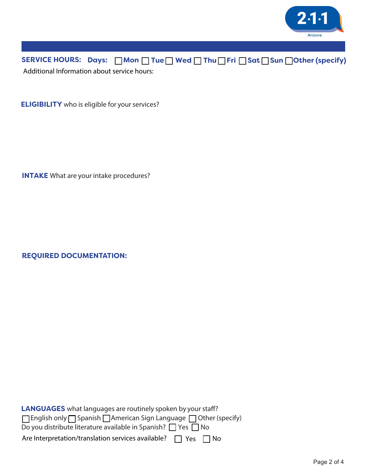

SERVICE HOURS: Days: **□Mon □ Tue □ Wed □ Thu □ Fri □ Sat □ Sun □Other (specify)** Additional Information about service hours:

**ELIGIBILITY** who is eligible for your services?

**INTAKE** What are your intake procedures?

**REQUIRED DOCUMENTATION:** 

**LANGUAGES** what languages are routinely spoken by your staff?  $\Box$  English only $\Box$  Spanish  $\Box$  American Sign Language  $\Box$  Other (specify) Do you distribute literature available in Spanish?  $\Box$  Yes  $\Box$  No Are Interpretation/translation services available?  $\Box$  Yes  $\Box$  No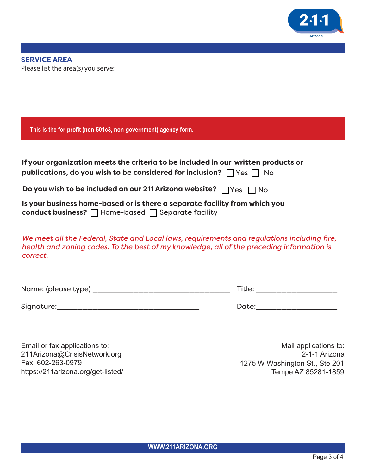

| This is the for-profit (non-501c3, non-government) agency form.                                                                                                                                      |                                  |  |  |  |  |
|------------------------------------------------------------------------------------------------------------------------------------------------------------------------------------------------------|----------------------------------|--|--|--|--|
| If your organization meets the criteria to be included in our written products or<br>publications, do you wish to be considered for inclusion? $\Box$ Yes $\Box$ No                                  |                                  |  |  |  |  |
| Do you wish to be included on our 211 Arizona website? $\Box$ Yes $\Box$ No                                                                                                                          |                                  |  |  |  |  |
| Is your business home-based or is there a separate facility from which you<br>conduct business? □ Home-based □ Separate facility                                                                     |                                  |  |  |  |  |
| We meet all the Federal, State and Local laws, requirements and regulations including fire,<br>health and zoning codes. To the best of my knowledge, all of the preceding information is<br>correct. |                                  |  |  |  |  |
|                                                                                                                                                                                                      | Title: _________________________ |  |  |  |  |
|                                                                                                                                                                                                      |                                  |  |  |  |  |
|                                                                                                                                                                                                      |                                  |  |  |  |  |

Email or fax applications to: 211Arizona@CrisisNetwork.org Fax: 602-263-0979 https://211arizona.org/get-listed/

Mail applications to: 2-1-1 Arizona 1275 W Washington St., Ste 201 Tempe AZ 85281-1859